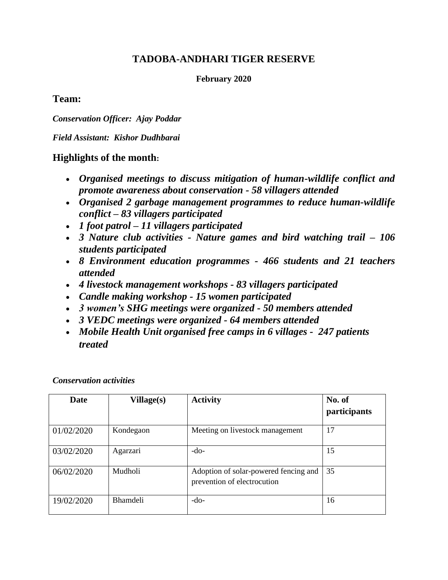# **TADOBA-ANDHARI TIGER RESERVE**

**February 2020**

### **Team:**

*Conservation Officer: Ajay Poddar*

*Field Assistant: Kishor Dudhbarai*

## **Highlights of the month:**

- *Organised meetings to discuss mitigation of human-wildlife conflict and promote awareness about conservation - 58 villagers attended*
- *Organised 2 garbage management programmes to reduce human-wildlife conflict – 83 villagers participated*
- *1 foot patrol – 11 villagers participated*
- *3 Nature club activities - Nature games and bird watching trail – 106 students participated*
- *8 Environment education programmes - 466 students and 21 teachers attended*
- *4 livestock management workshops - 83 villagers participated*
- *Candle making workshop - 15 women participated*
- *3 women's SHG meetings were organized - 50 members attended*
- *3 VEDC meetings were organized - 64 members attended*
- *Mobile Health Unit organised free camps in 6 villages 247 patients treated*

*Conservation activities*

| <b>Date</b> | Village(s)      | <b>Activity</b>                                                      | No. of<br>participants |
|-------------|-----------------|----------------------------------------------------------------------|------------------------|
| 01/02/2020  | Kondegaon       | Meeting on livestock management                                      | 17                     |
| 03/02/2020  | Agarzari        | $-do-$                                                               | 15                     |
| 06/02/2020  | Mudholi         | Adoption of solar-powered fencing and<br>prevention of electrocution | 35                     |
| 19/02/2020  | <b>Bhamdeli</b> | $-do-$                                                               | 16                     |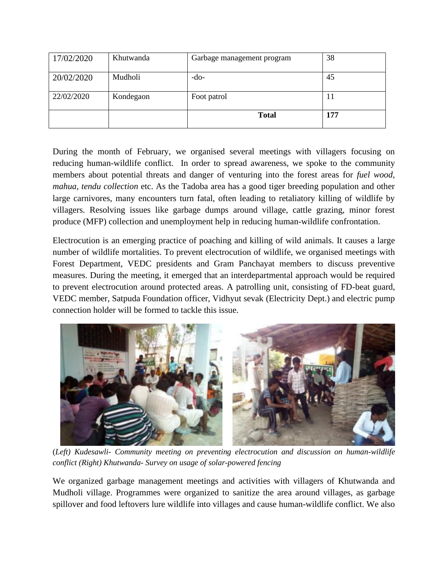| 17/02/2020 | Khutwanda | Garbage management program | 38  |
|------------|-----------|----------------------------|-----|
| 20/02/2020 | Mudholi   | -do-                       | 45  |
| 22/02/2020 | Kondegaon | Foot patrol                | 11  |
|            |           | <b>Total</b>               | 177 |

During the month of February, we organised several meetings with villagers focusing on reducing human-wildlife conflict. In order to spread awareness, we spoke to the community members about potential threats and danger of venturing into the forest areas for *fuel wood, mahua, tendu collection* etc. As the Tadoba area has a good tiger breeding population and other large carnivores, many encounters turn fatal, often leading to retaliatory killing of wildlife by villagers. Resolving issues like garbage dumps around village, cattle grazing, minor forest produce (MFP) collection and unemployment help in reducing human-wildlife confrontation.

Electrocution is an emerging practice of poaching and killing of wild animals. It causes a large number of wildlife mortalities. To prevent electrocution of wildlife, we organised meetings with Forest Department, VEDC presidents and Gram Panchayat members to discuss preventive measures. During the meeting, it emerged that an interdepartmental approach would be required to prevent electrocution around protected areas. A patrolling unit, consisting of FD-beat guard, VEDC member, Satpuda Foundation officer, Vidhyut sevak (Electricity Dept.) and electric pump connection holder will be formed to tackle this issue.



(*Left) Kudesawli- Community meeting on preventing electrocution and discussion on human-wildlife conflict (Right) Khutwanda- Survey on usage of solar-powered fencing* 

We organized garbage management meetings and activities with villagers of Khutwanda and Mudholi village. Programmes were organized to sanitize the area around villages, as garbage spillover and food leftovers lure wildlife into villages and cause human-wildlife conflict. We also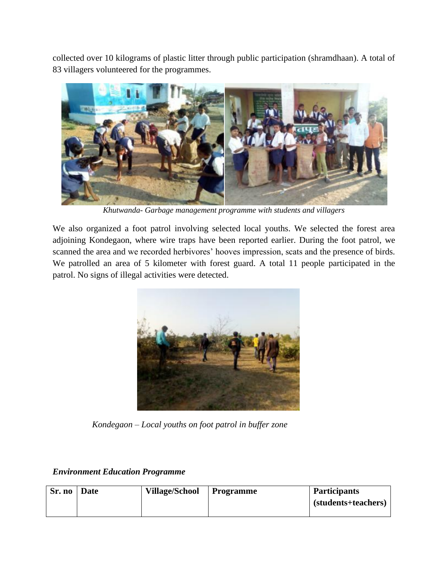collected over 10 kilograms of plastic litter through public participation (shramdhaan). A total of 83 villagers volunteered for the programmes.



*Khutwanda- Garbage management programme with students and villagers*

We also organized a foot patrol involving selected local youths. We selected the forest area adjoining Kondegaon, where wire traps have been reported earlier. During the foot patrol, we scanned the area and we recorded herbivores' hooves impression, scats and the presence of birds. We patrolled an area of 5 kilometer with forest guard. A total 11 people participated in the patrol. No signs of illegal activities were detected.



 *Kondegaon – Local youths on foot patrol in buffer zone*

| Sr. no   Date | Village/School   Programme | <b>Participants</b> |
|---------------|----------------------------|---------------------|
|               |                            | (students+teachers) |
|               |                            |                     |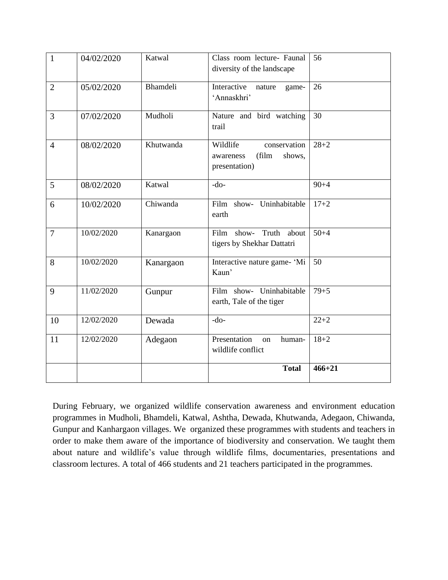| 1              | 04/02/2020 | Katwal    | Class room lecture- Faunal<br>diversity of the landscape                  | 56         |
|----------------|------------|-----------|---------------------------------------------------------------------------|------------|
| $\overline{2}$ | 05/02/2020 | Bhamdeli  | Interactive<br>nature<br>game-<br>'Annaskhri'                             | 26         |
| 3              | 07/02/2020 | Mudholi   | Nature and bird watching<br>trail                                         | 30         |
| $\overline{4}$ | 08/02/2020 | Khutwanda | Wildlife<br>conservation<br>(film<br>shows,<br>awareness<br>presentation) | $28 + 2$   |
| 5              | 08/02/2020 | Katwal    | $-do-$                                                                    | $90 + 4$   |
| 6              | 10/02/2020 | Chiwanda  | Film show- Uninhabitable<br>earth                                         | $17 + 2$   |
| $\overline{7}$ | 10/02/2020 | Kanargaon | Truth<br>about<br>Film<br>show-<br>tigers by Shekhar Dattatri             | $50 + 4$   |
| 8              | 10/02/2020 | Kanargaon | Interactive nature game- 'Mi<br>Kaun'                                     | 50         |
| 9              | 11/02/2020 | Gunpur    | Film show- Uninhabitable<br>earth, Tale of the tiger                      | $79 + 5$   |
| 10             | 12/02/2020 | Dewada    | $-do-$                                                                    | $22 + 2$   |
| 11             | 12/02/2020 | Adegaon   | Presentation<br>human-<br><sub>on</sub><br>wildlife conflict              | $18 + 2$   |
|                |            |           | <b>Total</b>                                                              | $466 + 21$ |

During February, we organized wildlife conservation awareness and environment education programmes in Mudholi, Bhamdeli, Katwal, Ashtha, Dewada, Khutwanda, Adegaon, Chiwanda, Gunpur and Kanhargaon villages. We organized these programmes with students and teachers in order to make them aware of the importance of biodiversity and conservation. We taught them about nature and wildlife's value through wildlife films, documentaries, presentations and classroom lectures. A total of 466 students and 21 teachers participated in the programmes.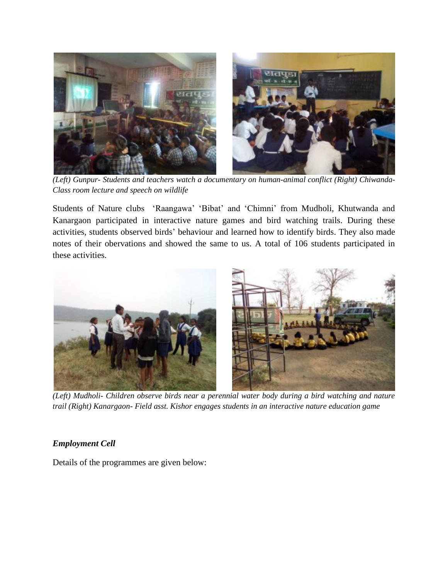

*(Left) Gunpur- Students and teachers watch a documentary on human-animal conflict (Right) Chiwanda-Class room lecture and speech on wildlife*

Students of Nature clubs 'Raangawa' 'Bibat' and 'Chimni' from Mudholi, Khutwanda and Kanargaon participated in interactive nature games and bird watching trails. During these activities, students observed birds' behaviour and learned how to identify birds. They also made notes of their obervations and showed the same to us. A total of 106 students participated in these activities.



*(Left) Mudholi- Children observe birds near a perennial water body during a bird watching and nature trail (Right) Kanargaon- Field asst. Kishor engages students in an interactive nature education game* 

#### *Employment Cell*

Details of the programmes are given below: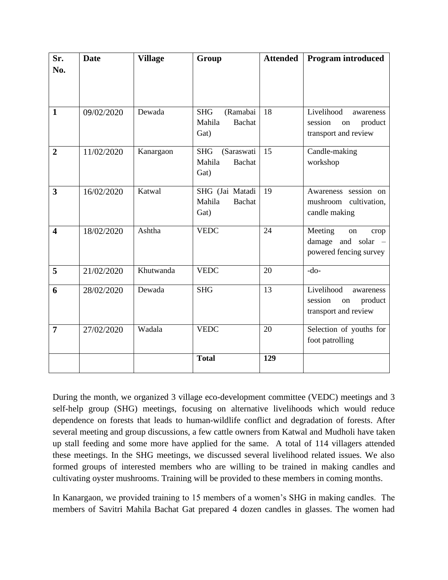| Sr.                     | <b>Date</b> | <b>Village</b> | Group                    | <b>Attended</b> | <b>Program introduced</b> |
|-------------------------|-------------|----------------|--------------------------|-----------------|---------------------------|
| No.                     |             |                |                          |                 |                           |
|                         |             |                |                          |                 |                           |
|                         |             |                |                          |                 |                           |
| $\mathbf{1}$            | 09/02/2020  | Dewada         | <b>SHG</b><br>(Ramabai   | 18              | Livelihood<br>awareness   |
|                         |             |                | Mahila<br><b>Bachat</b>  |                 | session<br>product<br>on  |
|                         |             |                | Gat)                     |                 | transport and review      |
| $\overline{2}$          | 11/02/2020  | Kanargaon      | <b>SHG</b><br>(Saraswati | 15              | Candle-making             |
|                         |             |                | Mahila<br><b>Bachat</b>  |                 | workshop                  |
|                         |             |                | Gat)                     |                 |                           |
| 3                       | 16/02/2020  | Katwal         | SHG (Jai Matadi          | 19              | Awareness session on      |
|                         |             |                | Mahila<br><b>Bachat</b>  |                 | mushroom<br>cultivation,  |
|                         |             |                | Gat)                     |                 | candle making             |
| $\overline{\mathbf{4}}$ | 18/02/2020  | Ashtha         | <b>VEDC</b>              | 24              | Meeting<br>on<br>crop     |
|                         |             |                |                          |                 | damage and solar -        |
|                         |             |                |                          |                 | powered fencing survey    |
| 5                       | 21/02/2020  | Khutwanda      | <b>VEDC</b>              | 20              | $-do-$                    |
| 6                       | 28/02/2020  | Dewada         | <b>SHG</b>               | 13              | Livelihood<br>awareness   |
|                         |             |                |                          |                 | session<br>product<br>on  |
|                         |             |                |                          |                 | transport and review      |
|                         |             |                |                          |                 |                           |
| $\overline{7}$          | 27/02/2020  | Wadala         | <b>VEDC</b>              | 20              | Selection of youths for   |
|                         |             |                |                          |                 | foot patrolling           |
|                         |             |                | <b>Total</b>             | 129             |                           |
|                         |             |                |                          |                 |                           |

During the month, we organized 3 village eco-development committee (VEDC) meetings and 3 self-help group (SHG) meetings, focusing on alternative livelihoods which would reduce dependence on forests that leads to human-wildlife conflict and degradation of forests. After several meeting and group discussions, a few cattle owners from Katwal and Mudholi have taken up stall feeding and some more have applied for the same. A total of 114 villagers attended these meetings. In the SHG meetings, we discussed several livelihood related issues. We also formed groups of interested members who are willing to be trained in making candles and cultivating oyster mushrooms. Training will be provided to these members in coming months.

In Kanargaon, we provided training to 15 members of a women's SHG in making candles. The members of Savitri Mahila Bachat Gat prepared 4 dozen candles in glasses. The women had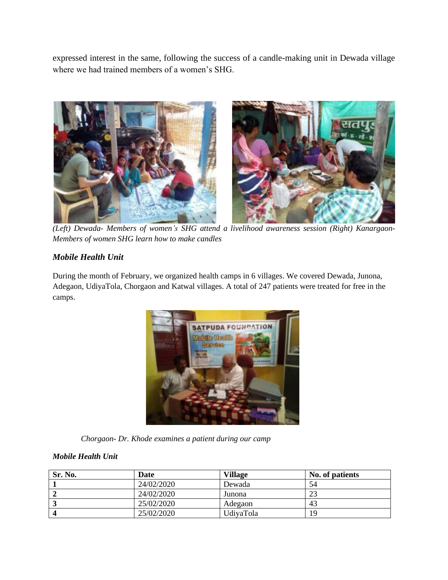expressed interest in the same, following the success of a candle-making unit in Dewada village where we had trained members of a women's SHG.



*(Left) Dewada- Members of women's SHG attend a livelihood awareness session (Right) Kanargaon-Members of women SHG learn how to make candles* 

### *Mobile Health Unit*

During the month of February, we organized health camps in 6 villages. We covered Dewada, Junona, Adegaon, UdiyaTola, Chorgaon and Katwal villages. A total of 247 patients were treated for free in the camps.



 *Chorgaon- Dr. Khode examines a patient during our camp*

#### *Mobile Health Unit*

| Sr. No. | <b>Date</b> | Village   | No. of patients |
|---------|-------------|-----------|-----------------|
|         | 24/02/2020  | Dewada    | 54              |
|         | 24/02/2020  | Junona    | ΩΩ              |
|         | 25/02/2020  | Adegaon   | 43              |
|         | 25/02/2020  | UdivaTola | 19              |